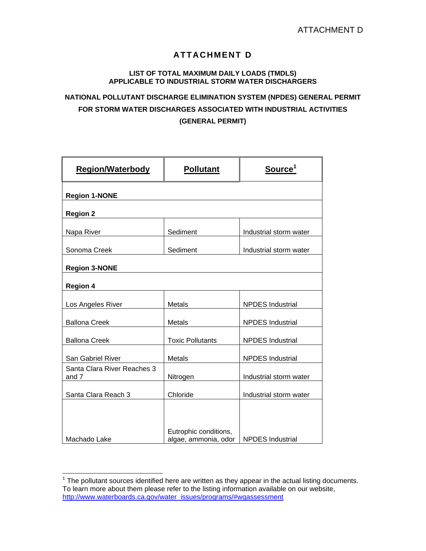## **ATTACHMENT D**

## **LIST OF TOTAL MAXIMUM DAILY LOADS (TMDLS) APPLICABLE TO INDUSTRIAL STORM WATER DISCHARGERS**

## **NATIONAL POLLUTANT DISCHARGE ELIMINATION SYSTEM (NPDES) GENERAL PERMIT FOR STORM WATER DISCHARGES ASSOCIATED WITH INDUSTRIAL ACTIVITIES (GENERAL PERMIT)**

| <b>Region/Waterbody</b>              | <b>Pollutant</b>                              | Source <sup>1</sup>     |  |  |  |
|--------------------------------------|-----------------------------------------------|-------------------------|--|--|--|
| <b>Region 1-NONE</b>                 |                                               |                         |  |  |  |
| <b>Region 2</b>                      |                                               |                         |  |  |  |
| Napa River                           | Sediment                                      | Industrial storm water  |  |  |  |
| Sonoma Creek                         | Sediment                                      | Industrial storm water  |  |  |  |
| <b>Region 3-NONE</b>                 |                                               |                         |  |  |  |
| <b>Region 4</b>                      |                                               |                         |  |  |  |
| Los Angeles River                    | Metals                                        | <b>NPDES</b> Industrial |  |  |  |
| <b>Ballona Creek</b>                 | Metals                                        | <b>NPDES</b> Industrial |  |  |  |
| <b>Ballona Creek</b>                 | <b>Toxic Pollutants</b>                       | <b>NPDES</b> Industrial |  |  |  |
| San Gabriel River                    | Metals                                        | <b>NPDES</b> Industrial |  |  |  |
| Santa Clara River Reaches 3<br>and 7 | Nitrogen                                      | Industrial storm water  |  |  |  |
| Santa Clara Reach 3                  | Chloride                                      | Industrial storm water  |  |  |  |
|                                      |                                               |                         |  |  |  |
| Machado Lake                         | Eutrophic conditions,<br>algae, ammonia, odor | <b>NPDES</b> Industrial |  |  |  |

<sup>————————————————————&</sup>lt;br><sup>1</sup> The pollutant sources identified here are written as they appear in the actual listing documents. To learn more about them please refer to the listing information available on our website, http://www.waterboards.ca.gov/water\_issues/programs/#wqassessment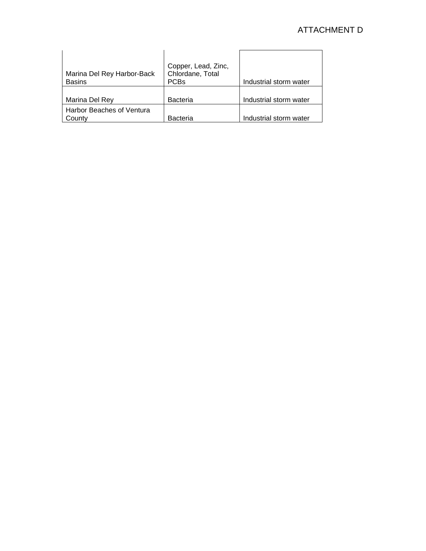## ATTACHMENT D

| Marina Del Rey Harbor-Back<br><b>Basins</b> | Copper, Lead, Zinc,<br>Chlordane, Total<br><b>PCBs</b> | Industrial storm water |
|---------------------------------------------|--------------------------------------------------------|------------------------|
| Marina Del Rey                              | <b>Bacteria</b>                                        | Industrial storm water |
| Harbor Beaches of Ventura<br>Countv         | <b>Bacteria</b>                                        | Industrial storm water |